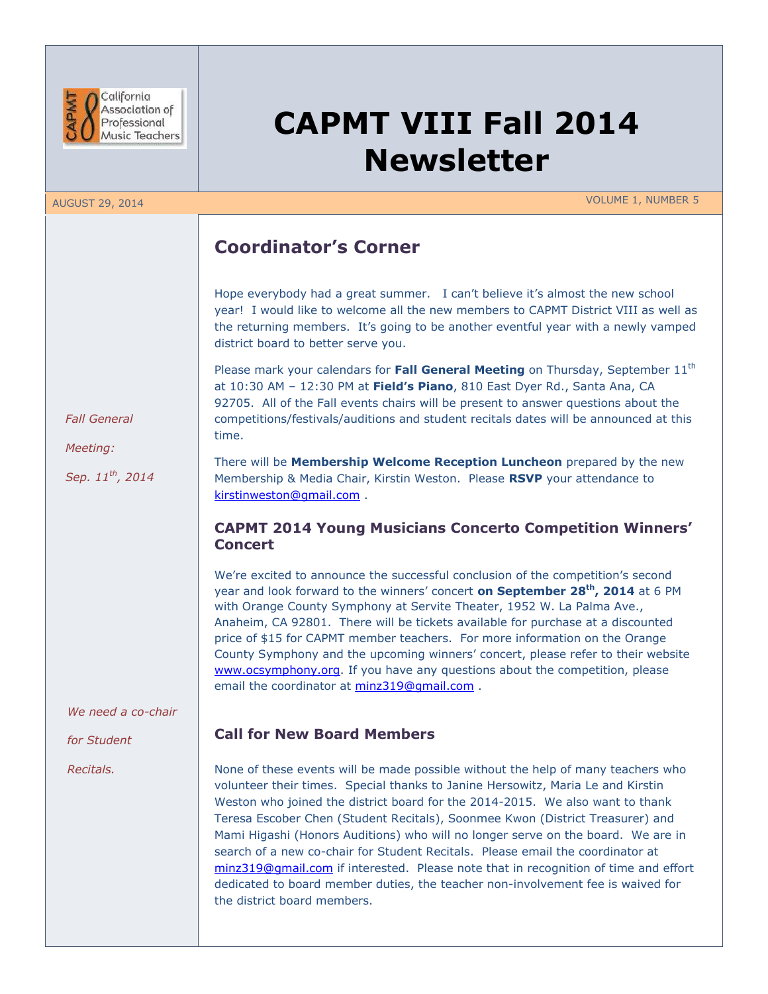

# **CAPMT VIII Fall 2014 Newsletter**

AUGUST 29, 2014 VOLUME 1, NUMBER 5

## **Coordinator's Corner**

Hope everybody had a great summer. I can't believe it's almost the new school year! I would like to welcome all the new members to CAPMT District VIII as well as the returning members. It's going to be another eventful year with a newly vamped district board to better serve you.

Please mark your calendars for **Fall General Meeting** on Thursday, September 11<sup>th</sup> at 10:30 AM – 12:30 PM at **Field's Piano**, 810 East Dyer Rd., Santa Ana, CA 92705. All of the Fall events chairs will be present to answer questions about the competitions/festivals/auditions and student recitals dates will be announced at this time.

 *Fall General*

 *Meeting:*

 *Sep. 11th, 2014*

There will be **Membership Welcome Reception Luncheon** prepared by the new Membership & Media Chair, Kirstin Weston. Please **RSVP** your attendance to [kirstinweston@gmail.com](mailto:kirstinweston@gmail.com) .

### **CAPMT 2014 Young Musicians Concerto Competition Winners' Concert**

We're excited to announce the successful conclusion of the competition's second year and look forward to the winners' concert **on September 28th, 2014** at 6 PM with Orange County Symphony at Servite Theater, 1952 W. La Palma Ave., Anaheim, CA 92801. There will be tickets available for purchase at a discounted price of \$15 for CAPMT member teachers. For more information on the Orange County Symphony and the upcoming winners' concert, please refer to their website [www.ocsymphony.org.](http://www.ocsymphony.org/) If you have any questions about the competition, please email the coordinator at [minz319@gmail.com](mailto:minz319@gmail.com) .

#### *We need a co-chair*

*for Student* 

*Recitals.*

### **Call for New Board Members**

None of these events will be made possible without the help of many teachers who volunteer their times. Special thanks to Janine Hersowitz, Maria Le and Kirstin Weston who joined the district board for the 2014-2015. We also want to thank Teresa Escober Chen (Student Recitals), Soonmee Kwon (District Treasurer) and Mami Higashi (Honors Auditions) who will no longer serve on the board. We are in search of a new co-chair for Student Recitals. Please email the coordinator at [minz319@gmail.com](mailto:minz319@gmail.com) if interested. Please note that in recognition of time and effort dedicated to board member duties, the teacher non-involvement fee is waived for the district board members.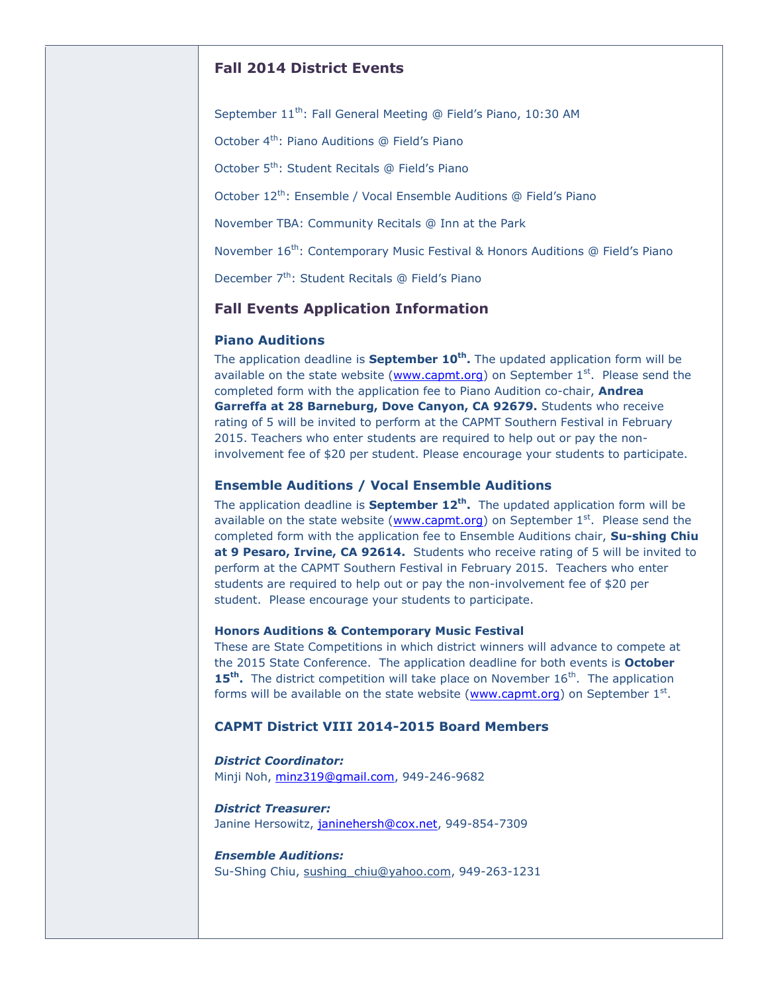#### **Fall 2014 District Events**

September 11<sup>th</sup>: Fall General Meeting @ Field's Piano, 10:30 AM

October 4<sup>th</sup>: Piano Auditions @ Field's Piano

October 5<sup>th</sup>: Student Recitals @ Field's Piano

October 12<sup>th</sup>: Ensemble / Vocal Ensemble Auditions @ Field's Piano

November TBA: Community Recitals @ Inn at the Park

November 16<sup>th</sup>: Contemporary Music Festival & Honors Auditions @ Field's Piano

December 7<sup>th</sup>: Student Recitals @ Field's Piano

#### **Fall Events Application Information**

#### **Piano Auditions**

The application deadline is **September 10th .** The updated application form will be available on the state website ( $www.capmt.org$ ) on September  $1<sup>st</sup>$ . Please send the completed form with the application fee to Piano Audition co-chair, **Andrea Garreffa at 28 Barneburg, Dove Canyon, CA 92679.** Students who receive rating of 5 will be invited to perform at the CAPMT Southern Festival in February 2015. Teachers who enter students are required to help out or pay the noninvolvement fee of \$20 per student. Please encourage your students to participate.

#### **Ensemble Auditions / Vocal Ensemble Auditions**

The application deadline is **September 12th .** The updated application form will be available on the state website ( $www.capmt.org$ ) on September  $1<sup>st</sup>$ . Please send the completed form with the application fee to Ensemble Auditions chair, **Su-shing Chiu at 9 Pesaro, Irvine, CA 92614.** Students who receive rating of 5 will be invited to perform at the CAPMT Southern Festival in February 2015. Teachers who enter students are required to help out or pay the non-involvement fee of \$20 per student. Please encourage your students to participate.

#### **Honors Auditions & Contemporary Music Festival**

These are State Competitions in which district winners will advance to compete at the 2015 State Conference. The application deadline for both events is **October**  15<sup>th</sup>. The district competition will take place on November 16<sup>th</sup>. The application forms will be available on the state website [\(www.capmt.org\)](http://www.capmt.org/) on September 1st.

#### **CAPMT District VIII 2014-2015 Board Members**

*District Coordinator:* Minji Noh, [minz319@gmail.com,](mailto:minz319@gmail.com) 949-246-9682

*District Treasurer:* Janine Hersowitz, [janinehersh@cox.net,](mailto:janinehersh@cox.net) 949-854-7309

*Ensemble Auditions:* Su-Shing Chiu, [sushing\\_chiu@yahoo.com,](mailto:sushing_chiu@yahoo.com%22%20%5Co%20%22mailto:sushing_chiu@yahoo.com%22%20%5Co%20%22mailto:sushing_chiu@yahoo.com%5C%22%20%5C%5Co%20%5C%22mailto:sushing_chiu@yahoo.com) 949-263-1231